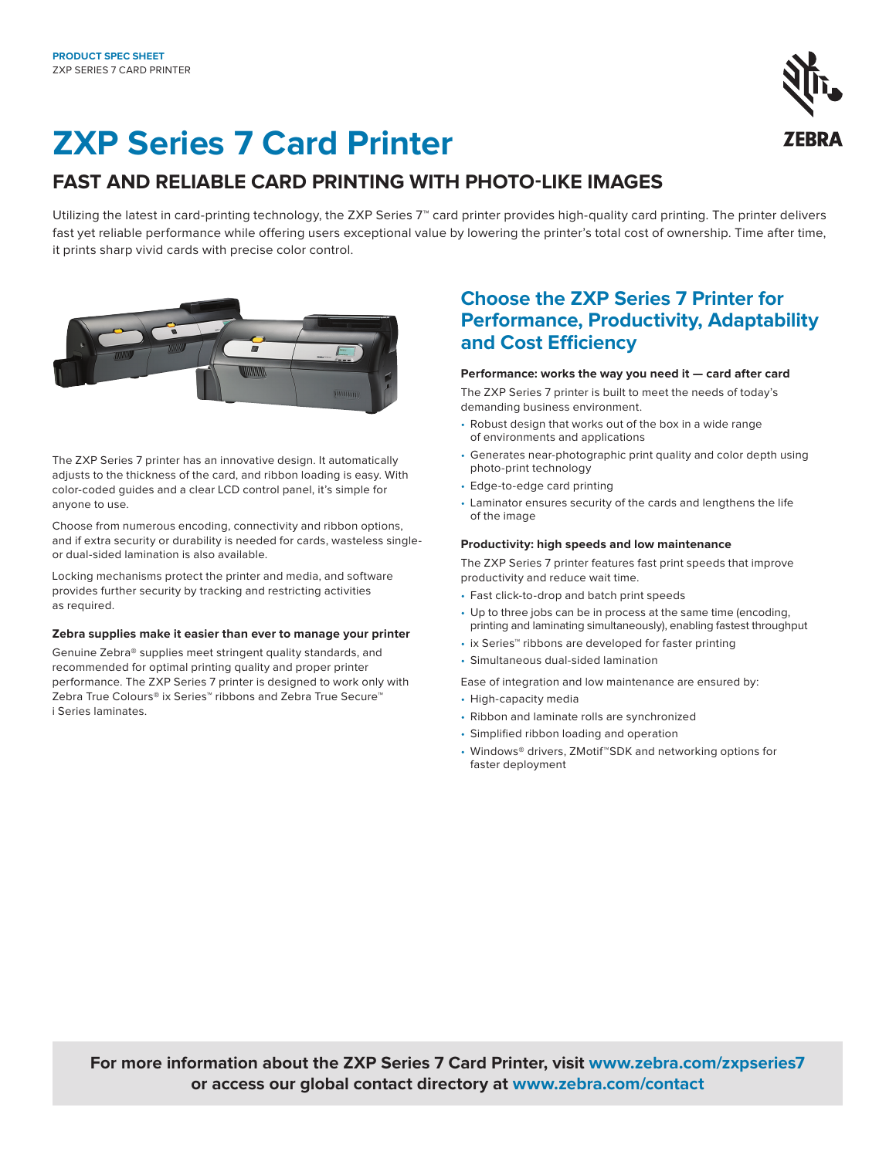# **ZXP Series 7 Card Printer**

## **FAST AND RELIABLE CARD PRINTING WITH PHOTO-LIKE IMAGES**

Utilizing the latest in card-printing technology, the ZXP Series 7™ card printer provides high-quality card printing. The printer delivers fast yet reliable performance while offering users exceptional value by lowering the printer's total cost of ownership. Time after time, it prints sharp vivid cards with precise color control.



The ZXP Series 7 printer has an innovative design. It automatically adjusts to the thickness of the card, and ribbon loading is easy. With color-coded guides and a clear LCD control panel, it's simple for anyone to use.

Choose from numerous encoding, connectivity and ribbon options, and if extra security or durability is needed for cards, wasteless singleor dual-sided lamination is also available.

Locking mechanisms protect the printer and media, and software provides further security by tracking and restricting activities as required.

#### **Zebra supplies make it easier than ever to manage your printer**

Genuine Zebra® supplies meet stringent quality standards, and recommended for optimal printing quality and proper printer performance. The ZXP Series 7 printer is designed to work only with Zebra True Colours® ix Series™ ribbons and Zebra True Secure™ i Series laminates.

### **Choose the ZXP Series 7 Printer for Performance, Productivity, Adaptability and Cost Efficiency**

#### **Performance: works the way you need it — card after card**

The ZXP Series 7 printer is built to meet the needs of today's demanding business environment.

- Robust design that works out of the box in a wide range of environments and applications
- Generates near-photographic print quality and color depth using photo-print technology
- Edge-to-edge card printing
- Laminator ensures security of the cards and lengthens the life of the image

#### **Productivity: high speeds and low maintenance**

The ZXP Series 7 printer features fast print speeds that improve productivity and reduce wait time.

- Fast click-to-drop and batch print speeds
- Up to three jobs can be in process at the same time (encoding, printing and laminating simultaneously), enabling fastest throughput
- ix Series™ ribbons are developed for faster printing
- Simultaneous dual-sided lamination

Ease of integration and low maintenance are ensured by:

- High-capacity media
- Ribbon and laminate rolls are synchronized
- Simplified ribbon loading and operation
- Windows® drivers, ZMotif™SDK and networking options for faster deployment

**For more information about the ZXP Series 7 Card Printer, visit [www.zebra.com/zxpseries7](https://www.zebra.com/us/en/products/printers/card/zxp-series-7.html) or access our global contact directory at [www.zebra.com/contact](http://www.zebra.com/contact)**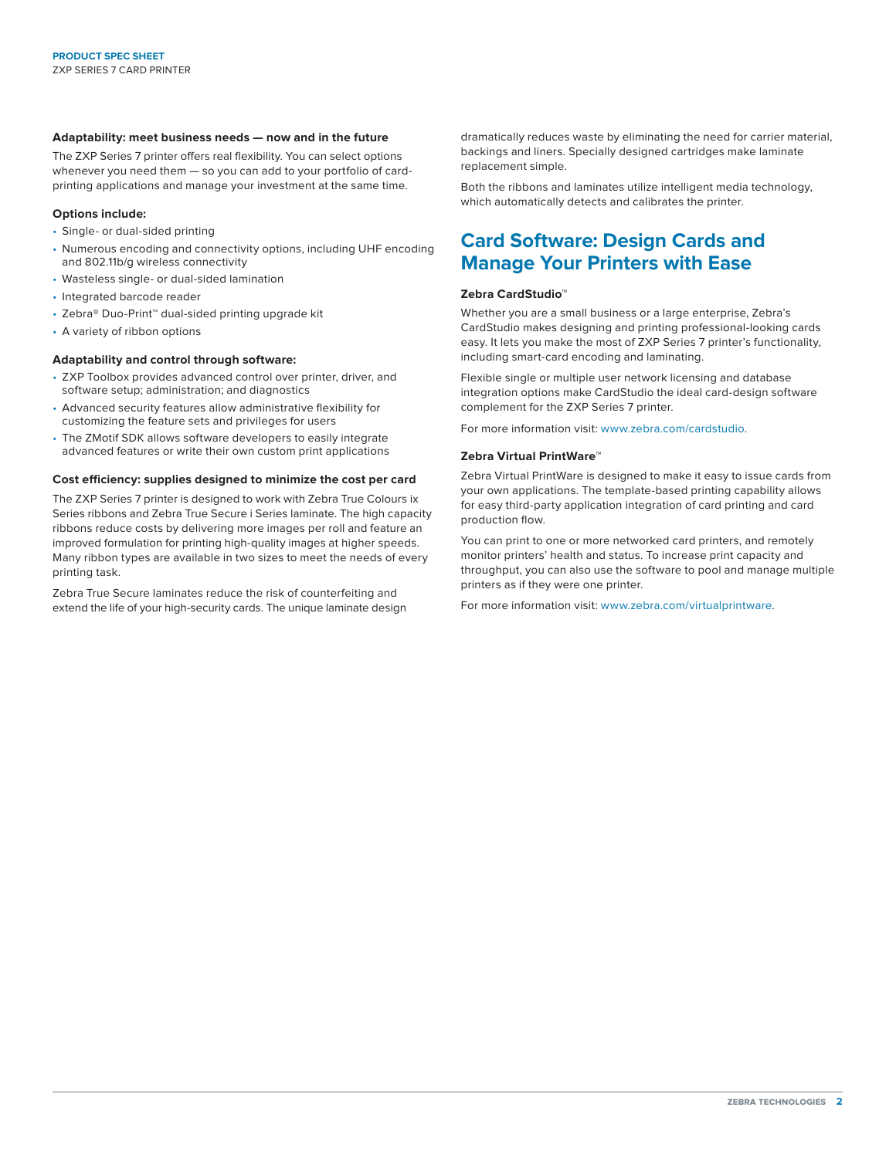#### **Adaptability: meet business needs — now and in the future**

The ZXP Series 7 printer offers real flexibility. You can select options whenever you need them — so you can add to your portfolio of cardprinting applications and manage your investment at the same time.

#### **Options include:**

- Single- or dual-sided printing
- Numerous encoding and connectivity options, including UHF encoding and 802.11b/g wireless connectivity
- Wasteless single- or dual-sided lamination
- Integrated barcode reader
- Zebra® Duo-Print™ dual-sided printing upgrade kit
- A variety of ribbon options

#### **Adaptability and control through software:**

- ZXP Toolbox provides advanced control over printer, driver, and software setup; administration; and diagnostics
- Advanced security features allow administrative flexibility for customizing the feature sets and privileges for users
- The ZMotif SDK allows software developers to easily integrate advanced features or write their own custom print applications

#### **Cost efficiency: supplies designed to minimize the cost per card**

The ZXP Series 7 printer is designed to work with Zebra True Colours ix Series ribbons and Zebra True Secure i Series laminate. The high capacity ribbons reduce costs by delivering more images per roll and feature an improved formulation for printing high-quality images at higher speeds. Many ribbon types are available in two sizes to meet the needs of every printing task.

Zebra True Secure laminates reduce the risk of counterfeiting and extend the life of your high-security cards. The unique laminate design dramatically reduces waste by eliminating the need for carrier material, backings and liners. Specially designed cartridges make laminate replacement simple.

Both the ribbons and laminates utilize intelligent media technology, which automatically detects and calibrates the printer.

### **Card Software: Design Cards and Manage Your Printers with Ease**

#### **Zebra CardStudio™**

Whether you are a small business or a large enterprise, Zebra's CardStudio makes designing and printing professional-looking cards easy. It lets you make the most of ZXP Series 7 printer's functionality, including smart-card encoding and laminating.

Flexible single or multiple user network licensing and database integration options make CardStudio the ideal card-design software complement for the ZXP Series 7 printer.

For more information visit[: www.zebra.com/cardstudio.](https://www.zebra.com/us/en/products/software/card-printers/zmotif-cardstudio-standard.html)

#### **Zebra Virtual PrintWare™**

Zebra Virtual PrintWare is designed to make it easy to issue cards from your own applications. The template-based printing capability allows for easy third-party application integration of card printing and card production flow.

You can print to one or more networked card printers, and remotely monitor printers' health and status. To increase print capacity and throughput, you can also use the software to pool and manage multiple printers as if they were one printer.

For more information visit: [www.zebra.com/virtualprintware.](https://www.zebra.com/us/en/products/software/card-printers/zebra-virtual-printware.html)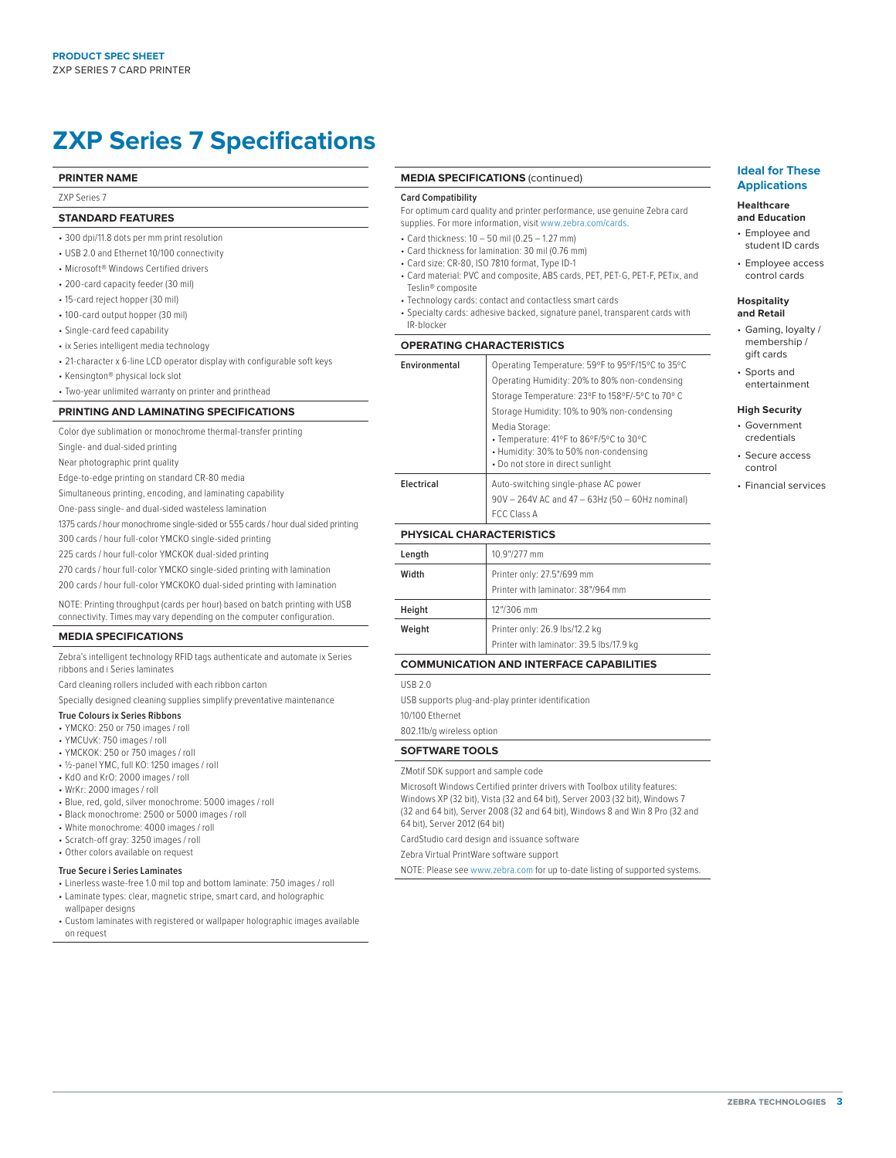## **ZXP Series 7 Specifications**

#### **PRINTER NAME**

ZXP Series 7

#### **STANDARD FEATURES**

- 300 dpi/11.8 dots per mm print resolution
- USB 2.0 and Ethernet 10/100 connectivity
- Microsoft® Windows Certified drivers
- 200-card capacity feeder (30 mil)
- 15-card reject hopper (30 mil)
- 100-card output hopper (30 mil)
- Single-card feed capability
- ix Series intelligent media technology
- 21-character x 6-line LCD operator display with configurable soft keys
- Kensington® physical lock slot
- Two-year unlimited warranty on printer and printhead

#### **PRINTING AND LAMINATING SPECIFICATIONS**

Color dye sublimation or monochrome thermal-transfer printing

Single- and dual-sided printing

Near photographic print quality

Edge-to-edge printing on standard CR-80 media

Simultaneous printing, encoding, and laminating capability

One-pass single- and dual-sided wasteless lamination

1375 cards / hour monochrome single-sided or 555 cards / hour dual sided printing

300 cards / hour full-color YMCKO single-sided printing

225 cards / hour full-color YMCKOK dual-sided printing

270 cards / hour full-color YMCKO single-sided printing with lamination

200 cards / hour full-color YMCKOKO dual-sided printing with lamination

NOTE: Printing throughput (cards per hour) based on batch printing with USB connectivity. Times may vary depending on the computer configuration.

#### **MEDIA SPECIFICATIONS**

Zebra's intelligent technology RFID tags authenticate and automate ix Series ribbons and i Series laminates

Card cleaning rollers included with each ribbon carton

Specially designed cleaning supplies simplify preventative maintenance

#### **True Colours ix Series Ribbons**

- YMCKO: 250 or 750 images / roll
- YMCUvK: 750 images / roll
- YMCKOK: 250 or 750 images / roll
- ½-panel YMC, full KO: 1250 images / roll
- KdO and KrO: 2000 images / roll
- WrKr: 2000 images / roll
- Blue, red, gold, silver monochrome: 5000 images / roll
- Black monochrome: 2500 or 5000 images / roll
- White monochrome: 4000 images / roll
- Scratch-off gray: 3250 images / roll
- Other colors available on request

#### **True Secure i Series Laminates**

- Linerless waste-free 1.0 mil top and bottom laminate: 750 images / roll • Laminate types: clear, magnetic stripe, smart card, and holographic
- wallpaper designs
- Custom laminates with registered or wallpaper holographic images available on request

#### **MEDIA SPECIFICATIONS** (continued)

#### **Card Compatibility**

For optimum card quality and printer performance, use genuine Zebra card supplies. For more information, visit [www.zebra.com/cards.](https://www.zebra.com/us/en/products/supplies/cards.html)

- Card thickness: 10 50 mil (0.25 1.27 mm)
- Card thickness for lamination: 30 mil (0.76 mm)
- Card size: CR-80, ISO 7810 format, Type ID-1
- Card material: PVC and composite, ABS cards, PET, PET-G, PET-F, PETix, and Teslin® composite
- Technology cards: contact and contactless smart cards
- Specialty cards: adhesive backed, signature panel, transparent cards with IR-blocker

#### **OPERATING CHARACTERISTICS**

| Environmental | Operating Temperature: 59°F to 95°F/15°C to 35°C<br>Operating Humidity: 20% to 80% non-condensing<br>Storage Temperature: 23°F to 158°F/-5°C to 70°C<br>Storage Humidity: 10% to 90% non-condensing<br>Media Storage:<br>• Temperature: 41°F to 86°F/5°C to 30°C<br>• Humidity: 30% to 50% non-condensing<br>• Do not store in direct sunlight |
|---------------|------------------------------------------------------------------------------------------------------------------------------------------------------------------------------------------------------------------------------------------------------------------------------------------------------------------------------------------------|
| Electrical    | Auto-switching single-phase AC power<br>90V - 264V AC and 47 - 63Hz (50 - 60Hz nominal)<br><b>FCC Class A</b>                                                                                                                                                                                                                                  |
|               |                                                                                                                                                                                                                                                                                                                                                |

#### **PHYSICAL CHARACTERISTICS**

| 10.9"/277 mm                                                               |
|----------------------------------------------------------------------------|
| Printer only: 27.5"/699 mm<br>Printer with laminator: 38"/964 mm           |
| 12"/306 mm                                                                 |
| Printer only: 26.9 lbs/12.2 kg<br>Printer with laminator: 39.5 lbs/17.9 kg |
|                                                                            |

#### **COMMUNICATION AND INTERFACE CAPABILITIES**

USB 2.0

USB supports plug-and-play printer identification

10/100 Ethernet

802.11b/g wireless option

#### **SOFTWARE TOOLS**

ZMotif SDK support and sample code

Microsoft Windows Certified printer drivers with Toolbox utility features: Windows XP (32 bit), Vista (32 and 64 bit), Server 2003 (32 bit), Windows 7 (32 and 64 bit), Server 2008 (32 and 64 bit), Windows 8 and Win 8 Pro (32 and 64 bit), Server 2012 (64 bit)

CardStudio card design and issuance software

Zebra Virtual PrintWare software support

NOTE: Please see [www.zebra.com](http://www.zebra.com) for up to-date listing of supported systems.

#### **Ideal for These Applications**

#### **Healthcare**

- **and Education**
- Employee and student ID cards
- Employee access control cards

#### **Hospitality and Retail**

- Gaming, loyalty / membership / gift cards
- Sports and entertainment

#### **High Security**

- Government credentials
- Secure access control
- Financial services